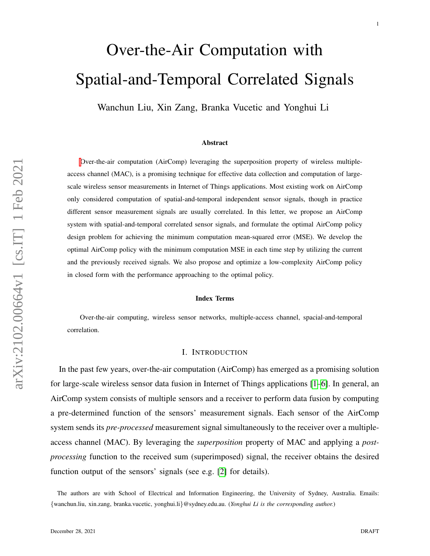# Over-the-Air Computation with Spatial-and-Temporal Correlated Signals

Wanchun Liu, Xin Zang, Branka Vucetic and Yonghui Li

#### Abstract

[O](#page-0-0)ver-the-air computation (AirComp) leveraging the superposition property of wireless multipleaccess channel (MAC), is a promising technique for effective data collection and computation of largescale wireless sensor measurements in Internet of Things applications. Most existing work on AirComp only considered computation of spatial-and-temporal independent sensor signals, though in practice different sensor measurement signals are usually correlated. In this letter, we propose an AirComp system with spatial-and-temporal correlated sensor signals, and formulate the optimal AirComp policy design problem for achieving the minimum computation mean-squared error (MSE). We develop the optimal AirComp policy with the minimum computation MSE in each time step by utilizing the current and the previously received signals. We also propose and optimize a low-complexity AirComp policy in closed form with the performance approaching to the optimal policy.

#### Index Terms

Over-the-air computing, wireless sensor networks, multiple-access channel, spacial-and-temporal correlation.

#### I. INTRODUCTION

In the past few years, over-the-air computation (AirComp) has emerged as a promising solution for large-scale wireless sensor data fusion in Internet of Things applications [\[1–](#page-12-0)[6\]](#page-12-1). In general, an AirComp system consists of multiple sensors and a receiver to perform data fusion by computing a pre-determined function of the sensors' measurement signals. Each sensor of the AirComp system sends its *pre-processed* measurement signal simultaneously to the receiver over a multipleaccess channel (MAC). By leveraging the *superposition* property of MAC and applying a *postprocessing* function to the received sum (superimposed) signal, the receiver obtains the desired function output of the sensors' signals (see e.g. [\[2\]](#page-12-2) for details).

<span id="page-0-0"></span>The authors are with School of Electrical and Information Engineering, the University of Sydney, Australia. Emails: {wanchun.liu, xin.zang, branka.vucetic, yonghui.li}@sydney.edu.au. (*Yonghui Li is the corresponding author.*)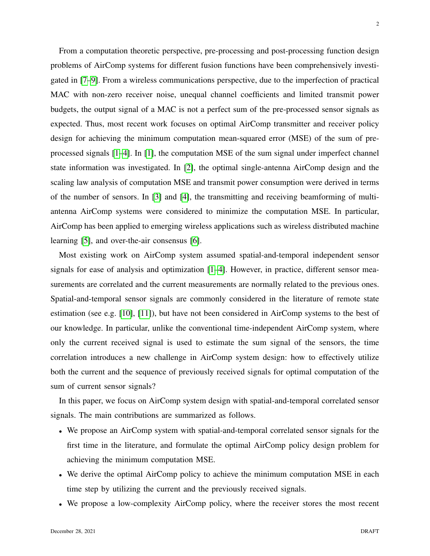From a computation theoretic perspective, pre-processing and post-processing function design problems of AirComp systems for different fusion functions have been comprehensively investigated in [\[7–](#page-12-3)[9\]](#page-12-4). From a wireless communications perspective, due to the imperfection of practical MAC with non-zero receiver noise, unequal channel coefficients and limited transmit power budgets, the output signal of a MAC is not a perfect sum of the pre-processed sensor signals as expected. Thus, most recent work focuses on optimal AirComp transmitter and receiver policy design for achieving the minimum computation mean-squared error (MSE) of the sum of preprocessed signals [\[1](#page-12-0)[–4\]](#page-12-5). In [\[1\]](#page-12-0), the computation MSE of the sum signal under imperfect channel state information was investigated. In [\[2\]](#page-12-2), the optimal single-antenna AirComp design and the scaling law analysis of computation MSE and transmit power consumption were derived in terms of the number of sensors. In [\[3\]](#page-12-6) and [\[4\]](#page-12-5), the transmitting and receiving beamforming of multiantenna AirComp systems were considered to minimize the computation MSE. In particular, AirComp has been applied to emerging wireless applications such as wireless distributed machine learning [\[5\]](#page-12-7), and over-the-air consensus [\[6\]](#page-12-1).

Most existing work on AirComp system assumed spatial-and-temporal independent sensor signals for ease of analysis and optimization  $[1-4]$  $[1-4]$ . However, in practice, different sensor measurements are correlated and the current measurements are normally related to the previous ones. Spatial-and-temporal sensor signals are commonly considered in the literature of remote state estimation (see e.g. [\[10\]](#page-12-8), [\[11\]](#page-12-9)), but have not been considered in AirComp systems to the best of our knowledge. In particular, unlike the conventional time-independent AirComp system, where only the current received signal is used to estimate the sum signal of the sensors, the time correlation introduces a new challenge in AirComp system design: how to effectively utilize both the current and the sequence of previously received signals for optimal computation of the sum of current sensor signals?

In this paper, we focus on AirComp system design with spatial-and-temporal correlated sensor signals. The main contributions are summarized as follows.

- We propose an AirComp system with spatial-and-temporal correlated sensor signals for the first time in the literature, and formulate the optimal AirComp policy design problem for achieving the minimum computation MSE.
- We derive the optimal AirComp policy to achieve the minimum computation MSE in each time step by utilizing the current and the previously received signals.
- We propose a low-complexity AirComp policy, where the receiver stores the most recent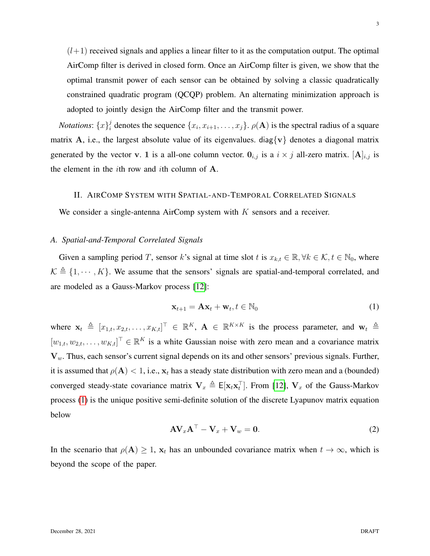$(l+1)$  received signals and applies a linear filter to it as the computation output. The optimal AirComp filter is derived in closed form. Once an AirComp filter is given, we show that the optimal transmit power of each sensor can be obtained by solving a classic quadratically constrained quadratic program (QCQP) problem. An alternating minimization approach is adopted to jointly design the AirComp filter and the transmit power.

*Notations*:  $\{x\}^j_i$  $i_j^j$  denotes the sequence  $\{x_i, x_{i+1}, \ldots, x_j\}$ .  $\rho(A)$  is the spectral radius of a square matrix A, i.e., the largest absolute value of its eigenvalues. diag{v} denotes a diagonal matrix generated by the vector v. 1 is a all-one column vector.  $0_{i,j}$  is a  $i \times j$  all-zero matrix. [A]<sub>i,j</sub> is the element in the ith row and ith column of A.

## II. AIRCOMP SYSTEM WITH SPATIAL-AND-TEMPORAL CORRELATED SIGNALS

We consider a single-antenna AirComp system with  $K$  sensors and a receiver.

# *A. Spatial-and-Temporal Correlated Signals*

Given a sampling period T, sensor k's signal at time slot t is  $x_{k,t} \in \mathbb{R}, \forall k \in \mathcal{K}, t \in \mathbb{N}_0$ , where  $\mathcal{K} \triangleq \{1, \dots, K\}$ . We assume that the sensors' signals are spatial-and-temporal correlated, and are modeled as a Gauss-Markov process [\[12\]](#page-12-10):

<span id="page-2-0"></span>
$$
\mathbf{x}_{t+1} = \mathbf{A}\mathbf{x}_t + \mathbf{w}_t, t \in \mathbb{N}_0
$$
 (1)

where  $\mathbf{x}_t \triangleq [x_{1,t}, x_{2,t}, \dots, x_{K,t}]^\top \in \mathbb{R}^K$ ,  $\mathbf{A} \in \mathbb{R}^{K \times K}$  is the process parameter, and  $\mathbf{w}_t \triangleq$  $[w_{1,t}, w_{2,t}, \dots, w_{K,t}]^{\top} \in \mathbb{R}^K$  is a white Gaussian noise with zero mean and a covariance matrix  $V_w$ . Thus, each sensor's current signal depends on its and other sensors' previous signals. Further, it is assumed that  $\rho(A) < 1$ , i.e.,  $x_t$  has a steady state distribution with zero mean and a (bounded) converged steady-state covariance matrix  $V_x \triangleq E[x_t x_t^\top]$ . From [\[12\]](#page-12-10),  $V_x$  of the Gauss-Markov process [\(1\)](#page-2-0) is the unique positive semi-definite solution of the discrete Lyapunov matrix equation below

<span id="page-2-1"></span>
$$
AV_xA^{\top} - V_x + V_w = 0.
$$
 (2)

In the scenario that  $\rho(A) \geq 1$ ,  $x_t$  has an unbounded covariance matrix when  $t \to \infty$ , which is beyond the scope of the paper.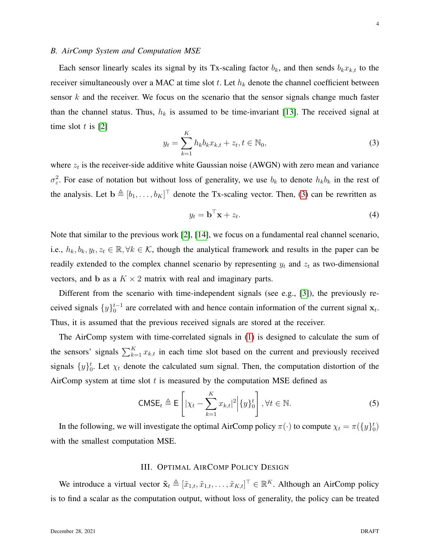## *B. AirComp System and Computation MSE*

Each sensor linearly scales its signal by its Tx-scaling factor  $b_k$ , and then sends  $b_kx_{k,t}$  to the receiver simultaneously over a MAC at time slot t. Let  $h_k$  denote the channel coefficient between sensor  $k$  and the receiver. We focus on the scenario that the sensor signals change much faster than the channel status. Thus,  $h_k$  is assumed to be time-invariant [\[13\]](#page-12-11). The received signal at time slot  $t$  is [\[2\]](#page-12-2)

<span id="page-3-0"></span>
$$
y_t = \sum_{k=1}^{K} h_k b_k x_{k,t} + z_t, t \in \mathbb{N}_0,
$$
\n(3)

where  $z_t$  is the receiver-side additive white Gaussian noise (AWGN) with zero mean and variance  $\sigma_z^2$ . For ease of notation but without loss of generality, we use  $b_k$  to denote  $h_k b_k$  in the rest of the analysis. Let  $\mathbf{b} \triangleq [b_1, \dots, b_K]^\top$  denote the Tx-scaling vector. Then, [\(3\)](#page-3-0) can be rewritten as

$$
y_t = \mathbf{b}^\top \mathbf{x} + z_t. \tag{4}
$$

Note that similar to the previous work [\[2\]](#page-12-2), [\[14\]](#page-12-12), we focus on a fundamental real channel scenario, i.e.,  $h_k, b_k, y_t, z_t \in \mathbb{R}, \forall k \in \mathcal{K}$ , though the analytical framework and results in the paper can be readily extended to the complex channel scenario by representing  $y_t$  and  $z_t$  as two-dimensional vectors, and b as a  $K \times 2$  matrix with real and imaginary parts.

Different from the scenario with time-independent signals (see e.g., [\[3\]](#page-12-6)), the previously received signals  $\{y\}_0^{t-1}$  are correlated with and hence contain information of the current signal  $x_t$ . Thus, it is assumed that the previous received signals are stored at the receiver.

The AirComp system with time-correlated signals in [\(1\)](#page-2-0) is designed to calculate the sum of the sensors' signals  $\sum_{k=1}^{K} x_{k,t}$  in each time slot based on the current and previously received signals  $\{y\}_0^t$ . Let  $\chi_t$  denote the calculated sum signal. Then, the computation distortion of the AirComp system at time slot  $t$  is measured by the computation MSE defined as

<span id="page-3-1"></span>
$$
\text{CMSE}_{t} \triangleq \mathsf{E}\left[|\chi_{t} - \sum_{k=1}^{K} x_{k,t}|^{2} \Big| \{y\}_{0}^{t}\right], \forall t \in \mathbb{N}.
$$
 (5)

In the following, we will investigate the optimal AirComp policy  $\pi(\cdot)$  to compute  $\chi_t = \pi(\lbrace y \rbrace_0^t)$ with the smallest computation MSE.

## III. OPTIMAL AIRCOMP POLICY DESIGN

We introduce a virtual vector  $\tilde{\mathbf{x}}_t \triangleq [\tilde{x}_{1,t}, \tilde{x}_{1,t}, \dots, \tilde{x}_{K,t}]^\top \in \mathbb{R}^K$ . Although an AirComp policy is to find a scalar as the computation output, without loss of generality, the policy can be treated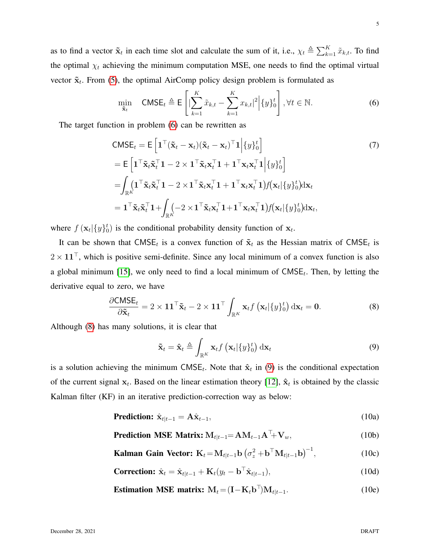as to find a vector  $\tilde{\mathbf{x}}_t$  in each time slot and calculate the sum of it, i.e.,  $\chi_t \triangleq \sum_{k=1}^K \tilde{x}_{k,t}$ . To find the optimal  $\chi_t$  achieving the minimum computation MSE, one needs to find the optimal virtual vector  $\tilde{\mathbf{x}}_t$ . From [\(5\)](#page-3-1), the optimal AirComp policy design problem is formulated as

<span id="page-4-3"></span><span id="page-4-0"></span>
$$
\min_{\tilde{\mathbf{x}}_t} \quad \text{CMSE}_t \triangleq \mathsf{E}\left[ \left| \sum_{k=1}^K \tilde{x}_{k,t} - \sum_{k=1}^K x_{k,t} \right|^2 \middle| \{y\}_0^t \right], \forall t \in \mathbb{N}.
$$

The target function in problem [\(6\)](#page-4-0) can be rewritten as

$$
CMSE_{t} = E\left[\mathbf{1}^{\top}(\tilde{\mathbf{x}}_{t} - \mathbf{x}_{t})(\tilde{\mathbf{x}}_{t} - \mathbf{x}_{t})^{\top}\mathbf{1}\Big| \{y\}_{0}^{t}\right]
$$
\n
$$
= E\left[\mathbf{1}^{\top}\tilde{\mathbf{x}}_{t}\tilde{\mathbf{x}}_{t}^{\top}\mathbf{1} - 2 \times \mathbf{1}^{\top}\tilde{\mathbf{x}}_{t}\mathbf{x}_{t}^{\top}\mathbf{1} + \mathbf{1}^{\top}\mathbf{x}_{t}\mathbf{x}_{t}^{\top}\mathbf{1}\Big| \{y\}_{0}^{t}\right]
$$
\n
$$
= \int_{\mathbb{R}^{K}}\left(\mathbf{1}^{\top}\tilde{\mathbf{x}}_{t}\tilde{\mathbf{x}}_{t}^{\top}\mathbf{1} - 2 \times \mathbf{1}^{\top}\tilde{\mathbf{x}}_{t}\mathbf{x}_{t}^{\top}\mathbf{1} + \mathbf{1}^{\top}\mathbf{x}_{t}\mathbf{x}_{t}^{\top}\mathbf{1}\right)f(\mathbf{x}_{t}|\{y\}_{0}^{t})d\mathbf{x}_{t}
$$
\n
$$
= \mathbf{1}^{\top}\tilde{\mathbf{x}}_{t}\tilde{\mathbf{x}}_{t}^{\top}\mathbf{1} + \int_{\mathbb{R}^{K}}\left(-2 \times \mathbf{1}^{\top}\tilde{\mathbf{x}}_{t}\mathbf{x}_{t}^{\top}\mathbf{1} + \mathbf{1}^{\top}\mathbf{x}_{t}\mathbf{x}_{t}^{\top}\mathbf{1}\right)f(\mathbf{x}_{t}|\{y\}_{0}^{t})d\mathbf{x}_{t},
$$
\n(7)

where  $f(\mathbf{x}_t | \{y\}_0^t)$  is the conditional probability density function of  $\mathbf{x}_t$ .

It can be shown that CMSE<sub>t</sub> is a convex function of  $\tilde{\mathbf{x}}_t$  as the Hessian matrix of CMSE<sub>t</sub> is  $2 \times 11^{\top}$ , which is positive semi-definite. Since any local minimum of a convex function is also a global minimum [\[15\]](#page-12-13), we only need to find a local minimum of  $\text{CMSE}_t$ . Then, by letting the derivative equal to zero, we have

<span id="page-4-1"></span>
$$
\frac{\partial \text{CMSE}_t}{\partial \tilde{\mathbf{x}}_t} = 2 \times \mathbf{1} \mathbf{1}^\top \tilde{\mathbf{x}}_t - 2 \times \mathbf{1} \mathbf{1}^\top \int_{\mathbb{R}^K} \mathbf{x}_t f\left(\mathbf{x}_t | \{y\}_0^t\right) d\mathbf{x}_t = \mathbf{0}.\tag{8}
$$

Although [\(8\)](#page-4-1) has many solutions, it is clear that

<span id="page-4-8"></span><span id="page-4-7"></span><span id="page-4-6"></span><span id="page-4-5"></span><span id="page-4-4"></span><span id="page-4-2"></span>
$$
\tilde{\mathbf{x}}_t = \hat{\mathbf{x}}_t \triangleq \int_{\mathbb{R}^K} \mathbf{x}_t f\left(\mathbf{x}_t | \{y\}_0^t\right) \mathrm{d}\mathbf{x}_t \tag{9}
$$

is a solution achieving the minimum CMSE<sub>t</sub>. Note that  $\hat{\mathbf{x}}_t$  in [\(9\)](#page-4-2) is the conditional expectation of the current signal  $x_t$ . Based on the linear estimation theory [\[12\]](#page-12-10),  $\hat{x}_t$  is obtained by the classic Kalman filter (KF) in an iterative prediction-correction way as below:

**Prediction:** 
$$
\hat{\mathbf{x}}_{t|t-1} = \mathbf{A}\hat{\mathbf{x}}_{t-1},
$$
 (10a)

**Prediction MSE Matrix:** 
$$
M_{t|t-1} = AM_{t-1}A^T + V_w
$$
, (10b)

Kalman Gain Vector: 
$$
K_t = M_{t|t-1} b \left(\sigma_z^2 + b^\top M_{t|t-1} b\right)^{-1},
$$
 (10c)

$$
\text{Correction: } \hat{\mathbf{x}}_t = \hat{\mathbf{x}}_{t|t-1} + \mathbf{K}_t(y_t - \mathbf{b}^\top \hat{\mathbf{x}}_{t|t-1}), \tag{10d}
$$

**Estimation MSE matrix:** 
$$
M_t = (I - K_t b^\top) M_{t|t-1}
$$
. (10e)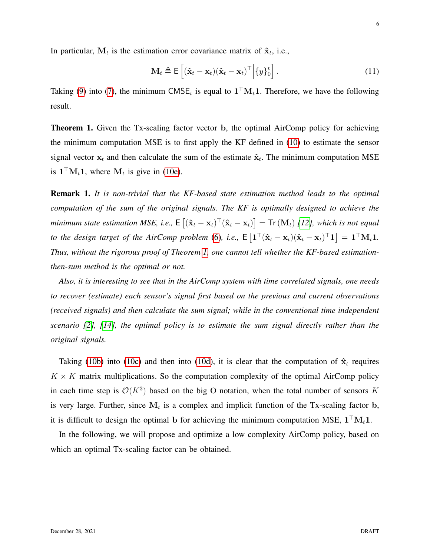In particular,  $M_t$  is the estimation error covariance matrix of  $\hat{\mathbf{x}}_t$ , i.e.,

$$
\mathbf{M}_t \triangleq \mathsf{E}\left[ (\hat{\mathbf{x}}_t - \mathbf{x}_t)(\hat{\mathbf{x}}_t - \mathbf{x}_t)^\top \middle| \{y\}_0^t \right]. \tag{11}
$$

Taking [\(9\)](#page-4-2) into [\(7\)](#page-4-3), the minimum CMSE<sub>t</sub> is equal to  $1<sup>T</sup>M<sub>t</sub>1$ . Therefore, we have the following result.

<span id="page-5-0"></span>Theorem 1. Given the Tx-scaling factor vector b, the optimal AirComp policy for achieving the minimum computation MSE is to first apply the KF defined in [\(10\)](#page-4-4) to estimate the sensor signal vector  $x_t$  and then calculate the sum of the estimate  $\hat{x}_t$ . The minimum computation MSE is  $1<sup>T</sup>M<sub>t</sub>1$ , where  $M<sub>t</sub>$  is give in [\(10e\)](#page-4-5).

Remark 1. *It is non-trivial that the KF-based state estimation method leads to the optimal computation of the sum of the original signals. The KF is optimally designed to achieve the*  $minimum$  state estimation MSE, i.e.,  $\mathsf{E}\left[(\mathbf{\hat{x}}_t - \mathbf{x}_t)^\top (\mathbf{\hat{x}}_t - \mathbf{x}_t)\right] = \mathsf{Tr}\left(\mathbf{M}_t\right)$  [\[12\]](#page-12-10), which is not equal to the design target of the AirComp problem [\(6\)](#page-4-0), i.e.,  $E\left[1^{\top}(\hat{\mathbf{x}}_t - \mathbf{x}_t)(\hat{\mathbf{x}}_t - \mathbf{x}_t)^{\top}1\right] = 1^{\top}M_t1$ . *Thus, without the rigorous proof of Theorem [1,](#page-5-0) one cannot tell whether the KF-based estimationthen-sum method is the optimal or not.*

*Also, it is interesting to see that in the AirComp system with time correlated signals, one needs to recover (estimate) each sensor's signal first based on the previous and current observations (received signals) and then calculate the sum signal; while in the conventional time independent scenario [\[2\]](#page-12-2), [\[14\]](#page-12-12), the optimal policy is to estimate the sum signal directly rather than the original signals.*

Taking [\(10b\)](#page-4-6) into [\(10c\)](#page-4-7) and then into [\(10d\)](#page-4-8), it is clear that the computation of  $\hat{\mathbf{x}}_t$  requires  $K \times K$  matrix multiplications. So the computation complexity of the optimal AirComp policy in each time step is  $\mathcal{O}(K^3)$  based on the big O notation, when the total number of sensors K is very large. Further, since  $M_t$  is a complex and implicit function of the Tx-scaling factor b, it is difficult to design the optimal b for achieving the minimum computation MSE,  $1^\top M_t 1$ .

In the following, we will propose and optimize a low complexity AirComp policy, based on which an optimal Tx-scaling factor can be obtained.

6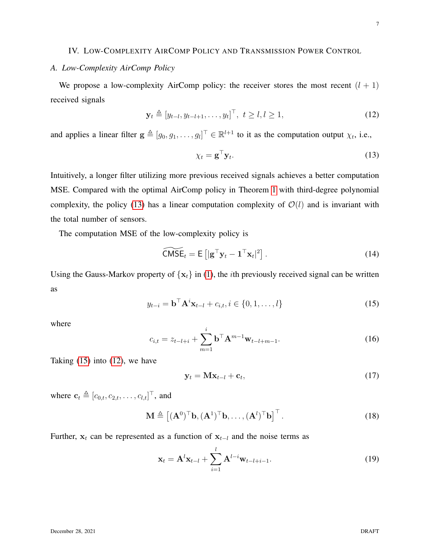# IV. LOW-COMPLEXITY AIRCOMP POLICY AND TRANSMISSION POWER CONTROL

# *A. Low-Complexity AirComp Policy*

We propose a low-complexity AirComp policy: the receiver stores the most recent  $(l + 1)$ received signals

<span id="page-6-2"></span>
$$
\mathbf{y}_t \triangleq [y_{t-l}, y_{t-l+1}, \dots, y_t]^\top, \ t \ge l, l \ge 1,
$$
 (12)

and applies a linear filter  $g \triangleq [g_0, g_1, \dots, g_l]^\top \in \mathbb{R}^{l+1}$  to it as the computation output  $\chi_t$ , i.e.,

<span id="page-6-0"></span>
$$
\chi_t = \mathbf{g}^\top \mathbf{y}_t. \tag{13}
$$

Intuitively, a longer filter utilizing more previous received signals achieves a better computation MSE. Compared with the optimal AirComp policy in Theorem [1](#page-5-0) with third-degree polynomial complexity, the policy [\(13\)](#page-6-0) has a linear computation complexity of  $\mathcal{O}(l)$  and is invariant with the total number of sensors.

The computation MSE of the low-complexity policy is

<span id="page-6-5"></span>
$$
\widetilde{\text{CMSE}}_t = \mathsf{E}\left[|\mathbf{g}^\top \mathbf{y}_t - \mathbf{1}^\top \mathbf{x}_t|^2\right].
$$
\n(14)

Using the Gauss-Markov property of  $\{x_t\}$  in [\(1\)](#page-2-0), the *i*th previously received signal can be written as

<span id="page-6-1"></span>
$$
y_{t-i} = \mathbf{b}^{\top} \mathbf{A}^i \mathbf{x}_{t-l} + c_{i,t}, i \in \{0, 1, \dots, l\}
$$
 (15)

where

$$
c_{i,t} = z_{t-l+i} + \sum_{m=1}^{i} \mathbf{b}^{\top} \mathbf{A}^{m-1} \mathbf{w}_{t-l+m-1}.
$$
 (16)

Taking  $(15)$  into  $(12)$ , we have

<span id="page-6-3"></span>
$$
\mathbf{y}_t = \mathbf{M}\mathbf{x}_{t-l} + \mathbf{c}_t, \tag{17}
$$

where  $\mathbf{c}_t \triangleq [c_{0,t}, c_{2,t}, \dots, c_{l,t}]^\top$ , and

<span id="page-6-6"></span>
$$
\mathbf{M} \triangleq \left[ (\mathbf{A}^0)^\top \mathbf{b}, (\mathbf{A}^1)^\top \mathbf{b}, \dots, (\mathbf{A}^l)^\top \mathbf{b} \right]^\top. \tag{18}
$$

Further,  $x_t$  can be represented as a function of  $x_{t-1}$  and the noise terms as

<span id="page-6-4"></span>
$$
\mathbf{x}_{t} = \mathbf{A}^{l} \mathbf{x}_{t-l} + \sum_{i=1}^{l} \mathbf{A}^{l-i} \mathbf{w}_{t-l+i-1}.
$$
 (19)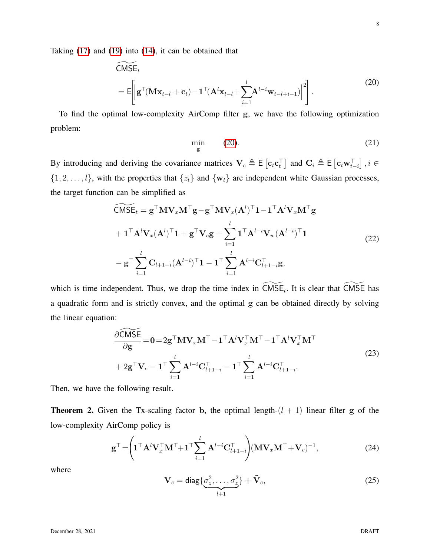Taking [\(17\)](#page-6-3) and [\(19\)](#page-6-4) into [\(14\)](#page-6-5), it can be obtained that

<span id="page-7-0"></span>
$$
\widetilde{\text{CMSE}}_t
$$
\n
$$
= \mathsf{E}\bigg[\bigg|\mathbf{g}^\top(\mathbf{M}\mathbf{x}_{t-l} + \mathbf{c}_t) - \mathbf{1}^\top(\mathbf{A}^l\mathbf{x}_{t-l} + \sum_{i=1}^l \mathbf{A}^{l-i}\mathbf{w}_{t-l+i-1})\bigg|^2\bigg].
$$
\n(20)

To find the optimal low-complexity AirComp filter g, we have the following optimization problem:

<span id="page-7-3"></span>
$$
\min_{\mathbf{g}} \qquad (20). \tag{21}
$$

By introducing and deriving the covariance matrices  $V_c \triangleq E[c_t c_t^{\top}]$  and  $C_i \triangleq E[c_t w_{t-i}^{\top}]$ ,  $i \in$  $\{1, 2, \ldots, l\}$ , with the properties that  $\{z_t\}$  and  $\{w_t\}$  are independent white Gaussian processes, the target function can be simplified as

<span id="page-7-1"></span>
$$
\widetilde{\mathsf{CMSE}}_{t} = \mathbf{g}^{\top} \mathbf{M} \mathbf{V}_{x} \mathbf{M}^{\top} \mathbf{g} - \mathbf{g}^{\top} \mathbf{M} \mathbf{V}_{x} (\mathbf{A}^{l})^{\top} \mathbf{1} - \mathbf{1}^{\top} \mathbf{A}^{l} \mathbf{V}_{x} \mathbf{M}^{\top} \mathbf{g}
$$
  
+  $\mathbf{1}^{\top} \mathbf{A}^{l} \mathbf{V}_{x} (\mathbf{A}^{l})^{\top} \mathbf{1} + \mathbf{g}^{\top} \mathbf{V}_{c} \mathbf{g} + \sum_{i=1}^{l} \mathbf{1}^{\top} \mathbf{A}^{l-i} \mathbf{V}_{w} (\mathbf{A}^{l-i})^{\top} \mathbf{1}$   
-  $\mathbf{g}^{\top} \sum_{i=1}^{l} \mathbf{C}_{l+1-i} (\mathbf{A}^{l-i})^{\top} \mathbf{1} - \mathbf{1}^{\top} \sum_{i=1}^{l} \mathbf{A}^{l-i} \mathbf{C}_{l+1-i}^{\top} \mathbf{g},$  (22)

which is time independent. Thus, we drop the time index in  $\widetilde{CMSE}_t$ . It is clear that  $\widetilde{CMSE}$  has a quadratic form and is strictly convex, and the optimal g can be obtained directly by solving the linear equation:

$$
\frac{\partial \widetilde{\mathbf{CMSE}}}{\partial \mathbf{g}} = \mathbf{0} = 2\mathbf{g}^{\top} \mathbf{M} \mathbf{V}_{x} \mathbf{M}^{\top} - \mathbf{1}^{\top} \mathbf{A}^{l} \mathbf{V}_{x}^{\top} \mathbf{M}^{\top} - \mathbf{1}^{\top} \mathbf{A}^{l} \mathbf{V}_{x}^{\top} \mathbf{M}^{\top} + 2\mathbf{g}^{\top} \mathbf{V}_{c} - \mathbf{1}^{\top} \sum_{i=1}^{l} \mathbf{A}^{l-i} \mathbf{C}_{l+1-i}^{\top} - \mathbf{1}^{\top} \sum_{i=1}^{l} \mathbf{A}^{l-i} \mathbf{C}_{l+1-i}^{\top}.
$$
\n(23)

<span id="page-7-2"></span>Then, we have the following result.

**Theorem 2.** Given the Tx-scaling factor b, the optimal length- $(l + 1)$  linear filter g of the low-complexity AirComp policy is

$$
\mathbf{g}^{\top} = \left(\mathbf{1}^{\top} \mathbf{A}^{l} \mathbf{V}_{x}^{\top} \mathbf{M}^{\top} + \mathbf{1}^{\top} \sum_{i=1}^{l} \mathbf{A}^{l-i} \mathbf{C}_{l+1-i}^{\top}\right) (\mathbf{M} \mathbf{V}_{x} \mathbf{M}^{\top} + \mathbf{V}_{c})^{-1},
$$
\n(24)

where

$$
\mathbf{V}_c = \text{diag}\left\{\underbrace{\sigma_z^2, \dots, \sigma_z^2}_{l+1}\right\} + \tilde{\mathbf{V}}_c,\tag{25}
$$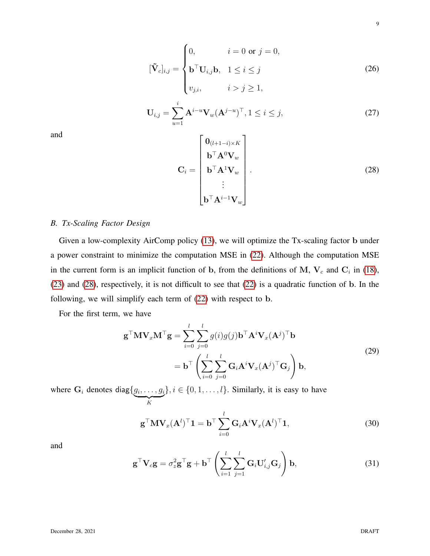$$
[\tilde{\mathbf{V}}_{c}]_{i,j} = \begin{cases} 0, & i = 0 \text{ or } j = 0, \\ \mathbf{b}^{\top} \mathbf{U}_{i,j} \mathbf{b}, & 1 \leq i \leq j \\ v_{j,i}, & i > j \geq 1, \end{cases}
$$
(26)  

$$
\mathbf{U}_{i,j} = \sum_{u=1}^{i} \mathbf{A}^{i-u} \mathbf{V}_{w} (\mathbf{A}^{j-u})^{\top}, 1 \leq i \leq j,
$$
(27)

and

<span id="page-8-0"></span>
$$
\mathbf{C}_{i} = \begin{bmatrix} \mathbf{0}_{(l+1-i)\times K} \\ \mathbf{b}^{\top} \mathbf{A}^{0} \mathbf{V}_{w} \\ \mathbf{b}^{\top} \mathbf{A}^{1} \mathbf{V}_{w} \\ \vdots \\ \mathbf{b}^{\top} \mathbf{A}^{i-1} \mathbf{V}_{w} \end{bmatrix} .
$$
 (28)

## *B. Tx-Scaling Factor Design*

Given a low-complexity AirComp policy [\(13\)](#page-6-0), we will optimize the Tx-scaling factor b under a power constraint to minimize the computation MSE in [\(22\)](#page-7-1). Although the computation MSE in the current form is an implicit function of b, from the definitions of M,  $V_c$  and  $C_i$  in [\(18\)](#page-6-6), [\(23\)](#page-7-2) and [\(28\)](#page-8-0), respectively, it is not difficult to see that [\(22\)](#page-7-1) is a quadratic function of b. In the following, we will simplify each term of [\(22\)](#page-7-1) with respect to b.

For the first term, we have

<span id="page-8-1"></span>
$$
\mathbf{g}^{\top} \mathbf{M} \mathbf{V}_{x} \mathbf{M}^{\top} \mathbf{g} = \sum_{i=0}^{l} \sum_{j=0}^{l} g(i)g(j) \mathbf{b}^{\top} \mathbf{A}^{i} \mathbf{V}_{x} (\mathbf{A}^{j})^{\top} \mathbf{b}
$$
  
= 
$$
\mathbf{b}^{\top} \left( \sum_{i=0}^{l} \sum_{j=0}^{l} \mathbf{G}_{i} \mathbf{A}^{i} \mathbf{V}_{x} (\mathbf{A}^{j})^{\top} \mathbf{G}_{j} \right) \mathbf{b},
$$
 (29)

where  $\mathbf{G}_i$  denotes diag $\{g_i, \ldots, g_i\}$  $\overline{K}$  $\{0, 1, \ldots, l\}$ . Similarly, it is easy to have

$$
\mathbf{g}^{\top} \mathbf{M} \mathbf{V}_x (\mathbf{A}^l)^{\top} \mathbf{1} = \mathbf{b}^{\top} \sum_{i=0}^l \mathbf{G}_i \mathbf{A}^i \mathbf{V}_x (\mathbf{A}^l)^{\top} \mathbf{1},
$$
\n(30)

and

$$
\mathbf{g}^{\top}\mathbf{V}_{c}\mathbf{g} = \sigma_{z}^{2}\mathbf{g}^{\top}\mathbf{g} + \mathbf{b}^{\top}\left(\sum_{i=1}^{l}\sum_{j=1}^{l}\mathbf{G}_{i}\mathbf{U}_{i,j}'\mathbf{G}_{j}\right)\mathbf{b},
$$
\n(31)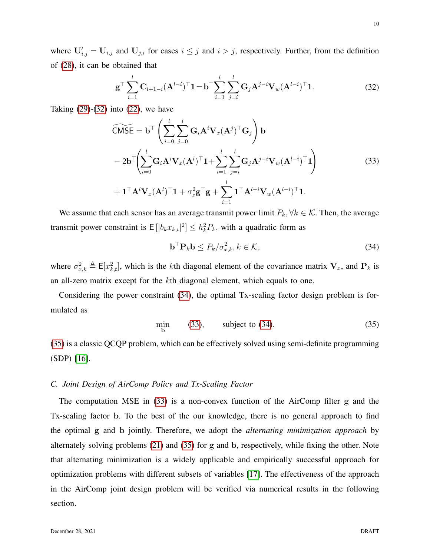where  $U'_{i,j} = U_{i,j}$  and  $U_{j,i}$  for cases  $i \leq j$  and  $i > j$ , respectively. Further, from the definition of [\(28\)](#page-8-0), it can be obtained that

<span id="page-9-0"></span>
$$
\mathbf{g}^{\top} \sum_{i=1}^{l} \mathbf{C}_{l+1-i} (\mathbf{A}^{l-i})^{\top} \mathbf{1} = \mathbf{b}^{\top} \sum_{i=1}^{l} \sum_{j=i}^{l} \mathbf{G}_{j} \mathbf{A}^{j-i} \mathbf{V}_{w} (\mathbf{A}^{l-i})^{\top} \mathbf{1}.
$$
 (32)

Taking  $(29)-(32)$  $(29)-(32)$  $(29)-(32)$  into  $(22)$ , we have

<span id="page-9-2"></span>
$$
\widetilde{\mathsf{CMSE}} = \mathbf{b}^\top \left( \sum_{i=0}^l \sum_{j=0}^l \mathbf{G}_i \mathbf{A}^i \mathbf{V}_x (\mathbf{A}^j)^\top \mathbf{G}_j \right) \mathbf{b}
$$
  
- 2 $\mathbf{b}^\top \left( \sum_{i=0}^l \mathbf{G}_i \mathbf{A}^i \mathbf{V}_x (\mathbf{A}^l)^\top \mathbf{1} + \sum_{i=1}^l \sum_{j=i}^l \mathbf{G}_j \mathbf{A}^{j-i} \mathbf{V}_w (\mathbf{A}^{l-i})^\top \mathbf{1} \right)$   
+  $\mathbf{1}^\top \mathbf{A}^l \mathbf{V}_x (\mathbf{A}^l)^\top \mathbf{1} + \sigma_z^2 \mathbf{g}^\top \mathbf{g} + \sum_{i=1}^l \mathbf{1}^\top \mathbf{A}^{l-i} \mathbf{V}_w (\mathbf{A}^{l-i})^\top \mathbf{1}.$  (33)

We assume that each sensor has an average transmit power limit  $P_k, \forall k \in \mathcal{K}$ . Then, the average transmit power constraint is  $E[|b_k x_{k,t}|^2] \leq h_k^2 P_k$ , with a quadratic form as

<span id="page-9-1"></span>
$$
\mathbf{b}^{\top} \mathbf{P}_k \mathbf{b} \le P_k / \sigma_{x,k}^2, k \in \mathcal{K},\tag{34}
$$

where  $\sigma_{x,k}^2 \triangleq E[x_{k,t}^2]$ , which is the kth diagonal element of the covariance matrix  $V_x$ , and  $P_k$  is an all-zero matrix except for the kth diagonal element, which equals to one.

Considering the power constraint [\(34\)](#page-9-1), the optimal Tx-scaling factor design problem is formulated as

<span id="page-9-3"></span>
$$
\min_{\mathbf{b}} (33), \qquad \text{subject to (34).} \tag{35}
$$

[\(35\)](#page-9-3) is a classic QCQP problem, which can be effectively solved using semi-definite programming (SDP) [\[16\]](#page-12-14).

### <span id="page-9-4"></span>*C. Joint Design of AirComp Policy and Tx-Scaling Factor*

The computation MSE in [\(33\)](#page-9-2) is a non-convex function of the AirComp filter g and the Tx-scaling factor b. To the best of the our knowledge, there is no general approach to find the optimal g and b jointly. Therefore, we adopt the *alternating minimization approach* by alternately solving problems [\(21\)](#page-7-3) and [\(35\)](#page-9-3) for g and b, respectively, while fixing the other. Note that alternating minimization is a widely applicable and empirically successful approach for optimization problems with different subsets of variables [\[17\]](#page-12-15). The effectiveness of the approach in the AirComp joint design problem will be verified via numerical results in the following section.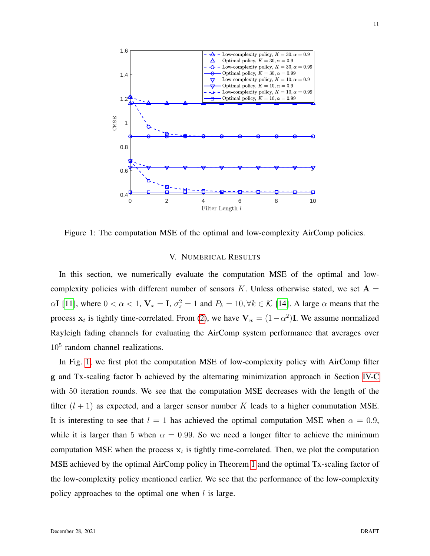

<span id="page-10-0"></span>Figure 1: The computation MSE of the optimal and low-complexity AirComp policies.

## V. NUMERICAL RESULTS

In this section, we numerically evaluate the computation MSE of the optimal and lowcomplexity policies with different number of sensors K. Unless otherwise stated, we set  $A =$  $\alpha I$  [\[11\]](#page-12-9), where  $0 < \alpha < 1$ ,  $V_x = I$ ,  $\sigma_z^2 = 1$  and  $P_k = 10$ ,  $\forall k \in \mathcal{K}$  [\[14\]](#page-12-12). A large  $\alpha$  means that the process  $x_t$  is tightly time-correlated. From [\(2\)](#page-2-1), we have  $V_w = (1 - \alpha^2)I$ . We assume normalized Rayleigh fading channels for evaluating the AirComp system performance that averages over 10<sup>5</sup> random channel realizations.

In Fig. [1,](#page-10-0) we first plot the computation MSE of low-complexity policy with AirComp filter g and Tx-scaling factor b achieved by the alternating minimization approach in Section [IV-C](#page-9-4) with 50 iteration rounds. We see that the computation MSE decreases with the length of the filter  $(l + 1)$  as expected, and a larger sensor number K leads to a higher commutation MSE. It is interesting to see that  $l = 1$  has achieved the optimal computation MSE when  $\alpha = 0.9$ , while it is larger than 5 when  $\alpha = 0.99$ . So we need a longer filter to achieve the minimum computation MSE when the process  $x_t$  is tightly time-correlated. Then, we plot the computation MSE achieved by the optimal AirComp policy in Theorem [1](#page-5-0) and the optimal Tx-scaling factor of the low-complexity policy mentioned earlier. We see that the performance of the low-complexity policy approaches to the optimal one when  $l$  is large.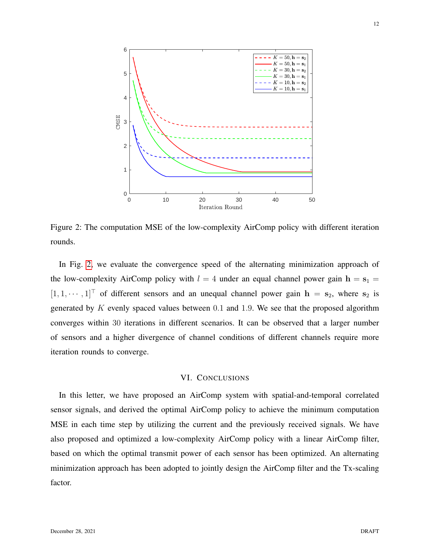

<span id="page-11-0"></span>Figure 2: The computation MSE of the low-complexity AirComp policy with different iteration rounds.

In Fig. [2,](#page-11-0) we evaluate the convergence speed of the alternating minimization approach of the low-complexity AirComp policy with  $l = 4$  under an equal channel power gain  $h = s_1 =$  $[1, 1, \cdots, 1]^\top$  of different sensors and an unequal channel power gain  $\mathbf{h} = \mathbf{s}_2$ , where  $\mathbf{s}_2$  is generated by  $K$  evenly spaced values between 0.1 and 1.9. We see that the proposed algorithm converges within 30 iterations in different scenarios. It can be observed that a larger number of sensors and a higher divergence of channel conditions of different channels require more iteration rounds to converge.

## VI. CONCLUSIONS

In this letter, we have proposed an AirComp system with spatial-and-temporal correlated sensor signals, and derived the optimal AirComp policy to achieve the minimum computation MSE in each time step by utilizing the current and the previously received signals. We have also proposed and optimized a low-complexity AirComp policy with a linear AirComp filter, based on which the optimal transmit power of each sensor has been optimized. An alternating minimization approach has been adopted to jointly design the AirComp filter and the Tx-scaling factor.